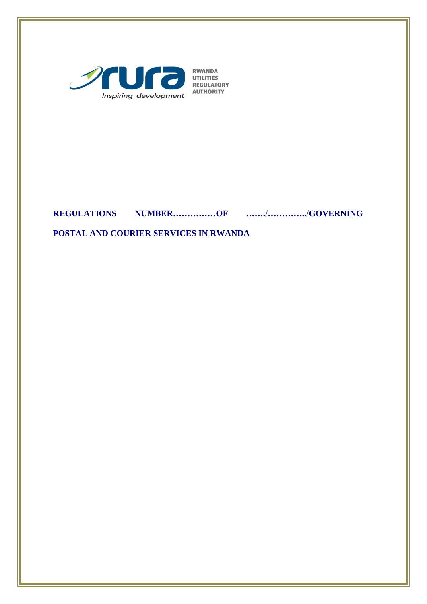

**RWANDA<br>UTILITIES<br>REGULATORY AUTHORITY** 

# **REGULATIONS NUMBER……………OF ……./…………../GOVERNING**

**POSTAL AND COURIER SERVICES IN RWANDA**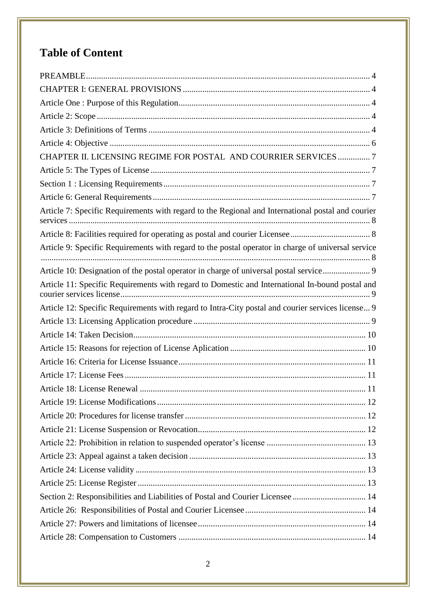# **Table of Content**

| CHAPTER II. LICENSING REGIME FOR POSTAL AND COURRIER SERVICES  7                                   |
|----------------------------------------------------------------------------------------------------|
|                                                                                                    |
|                                                                                                    |
|                                                                                                    |
| Article 7: Specific Requirements with regard to the Regional and International postal and courier  |
|                                                                                                    |
| Article 9: Specific Requirements with regard to the postal operator in charge of universal service |
| Article 10: Designation of the postal operator in charge of universal postal service 9             |
| Article 11: Specific Requirements with regard to Domestic and International In-bound postal and    |
| Article 12: Specific Requirements with regard to Intra-City postal and courier services license 9  |
|                                                                                                    |
|                                                                                                    |
|                                                                                                    |
|                                                                                                    |
|                                                                                                    |
|                                                                                                    |
|                                                                                                    |
|                                                                                                    |
|                                                                                                    |
|                                                                                                    |
|                                                                                                    |
|                                                                                                    |
|                                                                                                    |
| Section 2: Responsibilities and Liabilities of Postal and Courier Licensee  14                     |
|                                                                                                    |
|                                                                                                    |
|                                                                                                    |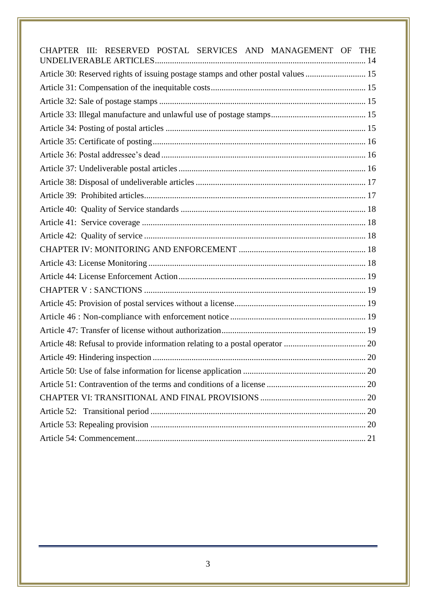<span id="page-2-0"></span>

| CHAPTER III: RESERVED POSTAL SERVICES AND MANAGEMENT OF THE                      |  |
|----------------------------------------------------------------------------------|--|
| Article 30: Reserved rights of issuing postage stamps and other postal values 15 |  |
|                                                                                  |  |
|                                                                                  |  |
|                                                                                  |  |
|                                                                                  |  |
|                                                                                  |  |
|                                                                                  |  |
|                                                                                  |  |
|                                                                                  |  |
|                                                                                  |  |
|                                                                                  |  |
|                                                                                  |  |
|                                                                                  |  |
|                                                                                  |  |
|                                                                                  |  |
|                                                                                  |  |
|                                                                                  |  |
|                                                                                  |  |
|                                                                                  |  |
|                                                                                  |  |
|                                                                                  |  |
|                                                                                  |  |
|                                                                                  |  |
|                                                                                  |  |
|                                                                                  |  |
|                                                                                  |  |
|                                                                                  |  |
|                                                                                  |  |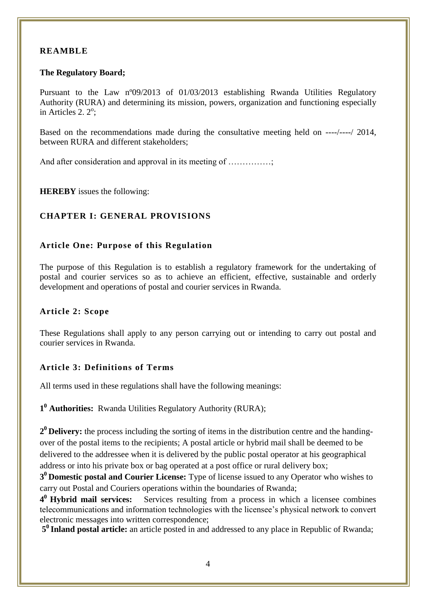# **REAMBLE**

### **The Regulatory Board;**

Pursuant to the Law nº09/2013 of 01/03/2013 establishing Rwanda Utilities Regulatory Authority (RURA) and determining its mission, powers, organization and functioning especially in Articles 2.  $2^\circ$ ;

Based on the recommendations made during the consultative meeting held on ----/----/ 2014, between RURA and different stakeholders;

And after consideration and approval in its meeting of .................

<span id="page-3-0"></span>**HEREBY** issues the following:

## **CHAPTER I: GENERAL PROVISIONS**

## <span id="page-3-1"></span>**Article One: Purpose of this Regulation**

The purpose of this Regulation is to establish a regulatory framework for the undertaking of postal and courier services so as to achieve an efficient, effective, sustainable and orderly development and operations of postal and courier services in Rwanda.

## <span id="page-3-2"></span>**Article 2: Scope**

These Regulations shall apply to any person carrying out or intending to carry out postal and courier services in Rwanda.

## <span id="page-3-3"></span>**Article 3: Definitions of Terms**

All terms used in these regulations shall have the following meanings:

**1 <sup>0</sup> Authorities:** Rwanda Utilities Regulatory Authority (RURA);

**2 <sup>0</sup>Delivery:** the process including the sorting of items in the distribution centre and the handingover of the postal items to the recipients; A postal article or hybrid mail shall be deemed to be delivered to the addressee when it is delivered by the public postal operator at his geographical address or into his private box or bag operated at a post office or rural delivery box;

**3 <sup>0</sup>Domestic postal and Courier License:** Type of license issued to any Operator who wishes to carry out Postal and Couriers operations within the boundaries of Rwanda;

4<sup>0</sup> Hybrid mail services: Services resulting from a process in which a licensee combines telecommunications and information technologies with the licensee's physical network to convert electronic messages into written correspondence;

**5 <sup>0</sup>Inland postal article:** an article posted in and addressed to any place in Republic of Rwanda;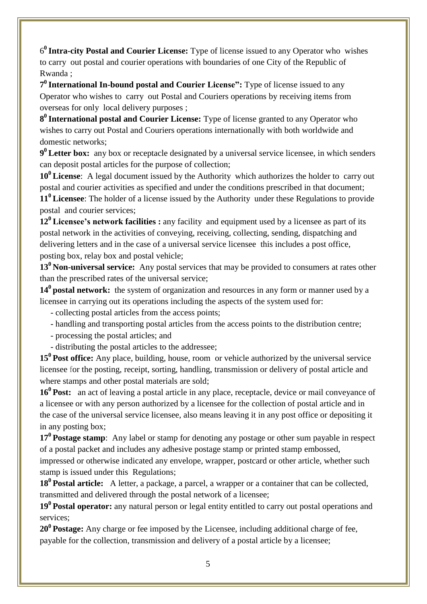6 **<sup>0</sup>Intra-city Postal and Courier License:** Type of license issued to any Operator who wishes to carry out postal and courier operations with boundaries of one City of the Republic of Rwanda ;

**7 <sup>0</sup>International In-bound postal and Courier License":** Type of license issued to any Operator who wishes to carry out Postal and Couriers operations by receiving items from overseas for only local delivery purposes ;

**8 <sup>0</sup>International postal and Courier License:** Type of license granted to any Operator who wishes to carry out Postal and Couriers operations internationally with both worldwide and domestic networks;

**9 <sup>0</sup>Letter box:** any box or receptacle designated by a universal service licensee, in which senders can deposit postal articles for the purpose of collection;

**10<sup>0</sup>License**: A legal document issued by the Authority which authorizes the holder to carry out postal and courier activities as specified and under the conditions prescribed in that document; **11<sup>0</sup>Licensee**: The holder of a license issued by the Authority under these Regulations to provide postal and courier services;

**12 <sup>0</sup>Licensee's network facilities :** any facility and equipment used by a licensee as part of its postal network in the activities of conveying, receiving, collecting, sending, dispatching and delivering letters and in the case of a universal service licensee this includes a post office, posting box, relay box and postal vehicle;

**13<sup>0</sup>Non-universal service:** Any postal services that may be provided to consumers at rates other than the prescribed rates of the universal service;

14<sup>0</sup> postal network: the system of organization and resources in any form or manner used by a licensee in carrying out its operations including the aspects of the system used for:

- collecting postal articles from the access points;

- handling and transporting postal articles from the access points to the distribution centre;
- processing the postal articles; and
- distributing the postal articles to the addressee;

**15<sup>0</sup> Post office:** Any place, building, house, room or vehicle authorized by the universal service licensee for the posting, receipt, sorting, handling, transmission or delivery of postal article and where stamps and other postal materials are sold;

**16<sup>0</sup>Post:** an act of leaving a postal article in any place, receptacle, device or mail conveyance of a licensee or with any person authorized by a licensee for the collection of postal article and in the case of the universal service licensee, also means leaving it in any post office or depositing it in any posting box;

**17<sup>0</sup>Postage stamp**: Any label or stamp for denoting any postage or other sum payable in respect of a postal packet and includes any adhesive postage stamp or printed stamp embossed,

impressed or otherwise indicated any envelope, wrapper, postcard or other article, whether such stamp is issued under this Regulations;

**18<sup>0</sup>Postal article:** A letter, a package, a parcel, a wrapper or a container that can be collected, transmitted and delivered through the postal network of a licensee;

**19<sup>0</sup>Postal operator:** any natural person or legal entity entitled to carry out postal operations and services;

**20<sup>0</sup>Postage:** Any charge or fee imposed by the Licensee, including additional charge of fee, payable for the collection, transmission and delivery of a postal article by a licensee;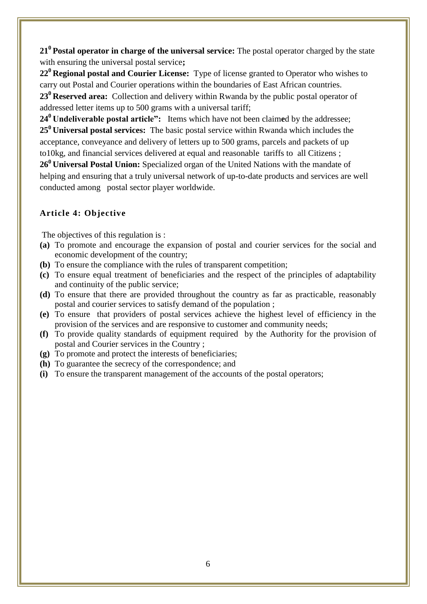**21<sup>0</sup>Postal operator in charge of the universal service:** The postal operator charged by the state with ensuring the universal postal service**;**

**22<sup>0</sup>Regional postal and Courier License:** Type of license granted to Operator who wishes to carry out Postal and Courier operations within the boundaries of East African countries.

**23<sup>0</sup>Reserved area:** Collection and delivery within Rwanda by the public postal operator of addressed letter items up to 500 grams with a universal tariff;

**24<sup>0</sup>Undeliverable postal article":** Items which have not been claim**e**d by the addressee; **25<sup>0</sup>Universal postal services:** The basic postal service within Rwanda which includes the acceptance, conveyance and delivery of letters up to 500 grams, parcels and packets of up to10kg, and financial services delivered at equal and reasonable tariffs to all Citizens ;

**26<sup>0</sup>Universal Postal Union:** Specialized organ of the United Nations with the mandate of helping and ensuring that a truly universal network of up-to-date products and services are well conducted among postal sector player worldwide.

# <span id="page-5-0"></span>**Article 4: Objective**

The objectives of this regulation is :

- **(a)** To promote and encourage the expansion of postal and courier services for the social and economic development of the country;
- **(b)** To ensure the compliance with the rules of transparent competition;
- **(c)** To ensure equal treatment of beneficiaries and the respect of the principles of adaptability and continuity of the public service;
- **(d)** To ensure that there are provided throughout the country as far as practicable, reasonably postal and courier services to satisfy demand of the population ;
- **(e)** To ensure that providers of postal services achieve the highest level of efficiency in the provision of the services and are responsive to customer and community needs;
- **(f)** To provide quality standards of equipment required by the Authority for the provision of postal and Courier services in the Country ;
- **(g)** To promote and protect the interests of beneficiaries;
- **(h)** To guarantee the secrecy of the correspondence; and
- <span id="page-5-1"></span>**(i)** To ensure the transparent management of the accounts of the postal operators;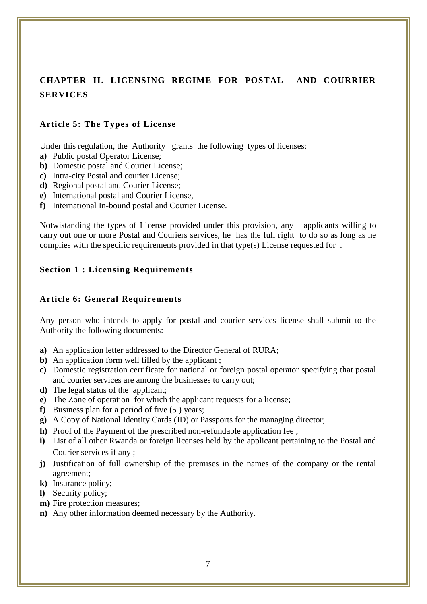# **CHAPTER II. LICENSING REGIME FOR POSTAL AND COURRIER SERVICES**

## <span id="page-6-0"></span>**Article 5: The Types of License**

Under this regulation, the Authority grants the following types of licenses:

- **a)** Public postal Operator License;
- **b)** Domestic postal and Courier License;
- **c)** Intra-city Postal and courier License;
- **d)** Regional postal and Courier License;
- **e)** International postal and Courier License,
- **f)** International In-bound postal and Courier License.

Notwistanding the types of License provided under this provision, any applicants willing to carry out one or more Postal and Couriers services, he has the full right to do so as long as he complies with the specific requirements provided in that type(s) License requested for .

## <span id="page-6-1"></span>**Section 1 : Licensing Requirements**

### <span id="page-6-2"></span>**Article 6: General Requirements**

Any person who intends to apply for postal and courier services license shall submit to the Authority the following documents:

- **a)** An application letter addressed to the Director General of RURA;
- **b**) An application form well filled by the applicant ;
- **c)** Domestic registration certificate for national or foreign postal operator specifying that postal and courier services are among the businesses to carry out;
- **d)** The legal status of the applicant;
- **e)** The Zone of operation for which the applicant requests for a license;
- **f)** Business plan for a period of five (5 ) years;
- **g)** A Copy of National Identity Cards (ID) or Passports for the managing director;
- **h**) Proof of the Payment of the prescribed non-refundable application fee :
- **i)** List of all other Rwanda or foreign licenses held by the applicant pertaining to the Postal and Courier services if any ;
- **j)** Justification of full ownership of the premises in the names of the company or the rental agreement;
- **k)** Insurance policy;
- **l)** Security policy;
- **m)** Fire protection measures;
- **n)** Any other information deemed necessary by the Authority.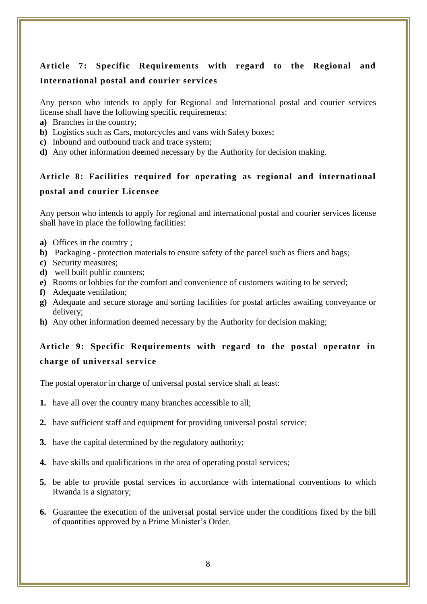# <span id="page-7-0"></span>**Article 7: Specific Requirements with regard to the Regional and International postal and courier services**

Any person who intends to apply for Regional and International postal and courier services license shall have the following specific requirements:

- **a)** Branches in the country;
- **b)** Logistics such as Cars, motorcycles and vans with Safety boxes;
- **c)** Inbound and outbound track and trace system;
- <span id="page-7-1"></span>**d)** Any other information de**e**med necessary by the Authority for decision making.

# **Article 8: Facilities required for operating as regional and international postal and courier Licensee**

Any person who intends to apply for regional and international postal and courier services license shall have in place the following facilities:

- **a)** Offices in the country ;
- **b)** Packaging protection materials to ensure safety of the parcel such as fliers and bags;
- **c)** Security measures;
- **d)** well built public counters;
- **e)** Rooms or lobbies for the comfort and convenience of customers waiting to be served;
- **f)** Adequate ventilation;
- **g)** Adequate and secure storage and sorting facilities for postal articles awaiting conveyance or delivery;
- <span id="page-7-2"></span>**h)** Any other information deemed necessary by the Authority for decision making;

# **Article 9: Specific Requirements with regard to the postal operator in charge of universal service**

The postal operator in charge of universal postal service shall at least:

- **1.** have all over the country many branches accessible to all;
- **2.** have sufficient staff and equipment for providing universal postal service;
- **3.** have the capital determined by the regulatory authority;
- **4.** have skills and qualifications in the area of operating postal services;
- **5.** be able to provide postal services in accordance with international conventions to which Rwanda is a signatory;
- **6.** Guarantee the execution of the universal postal service under the conditions fixed by the bill of quantities approved by a Prime Minister's Order.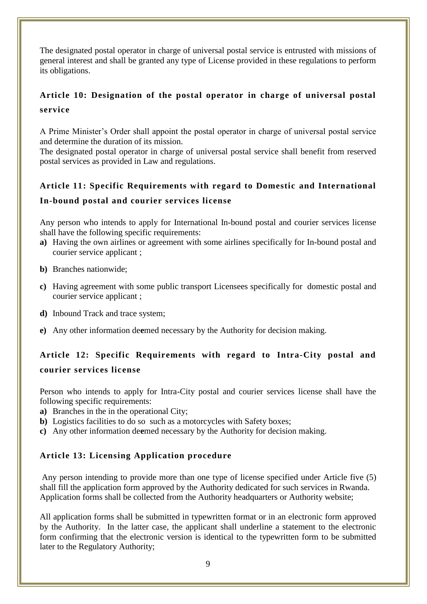The designated postal operator in charge of universal postal service is entrusted with missions of general interest and shall be granted any type of License provided in these regulations to perform its obligations.

# <span id="page-8-0"></span>**Article 10: Designation of the postal operator in charge of universal postal service**

A Prime Minister's Order shall appoint the postal operator in charge of universal postal service and determine the duration of its mission.

The designated postal operator in charge of universal postal service shall benefit from reserved postal services as provided in Law and regulations.

# <span id="page-8-1"></span>**Article 11: Specific Requirements with regard to Domestic and International In-bound postal and courier services license**

Any person who intends to apply for International In-bound postal and courier services license shall have the following specific requirements:

- **a)** Having the own airlines or agreement with some airlines specifically for In-bound postal and courier service applicant ;
- **b)** Branches nationwide;
- **c)** Having agreement with some public transport Licensees specifically for domestic postal and courier service applicant ;
- **d)** Inbound Track and trace system;
- **e)** Any other information de**e**med necessary by the Authority for decision making.

# <span id="page-8-2"></span>**Article 12: Specific Requirements with regard to Intra-City postal and courier services license**

Person who intends to apply for Intra-City postal and courier services license shall have the following specific requirements:

- **a)** Branches in the in the operational City;
- **b**) Logistics facilities to do so such as a motorcycles with Safety boxes:
- <span id="page-8-3"></span>**c)** Any other information de**e**med necessary by the Authority for decision making.

# **Article 13: Licensing Application procedure**

Any person intending to provide more than one type of license specified under Article five (5) shall fill the application form approved by the Authority dedicated for such services in Rwanda. Application forms shall be collected from the Authority headquarters or Authority website;

All application forms shall be submitted in typewritten format or in an electronic form approved by the Authority. In the latter case, the applicant shall underline a statement to the electronic form confirming that the electronic version is identical to the typewritten form to be submitted later to the Regulatory Authority;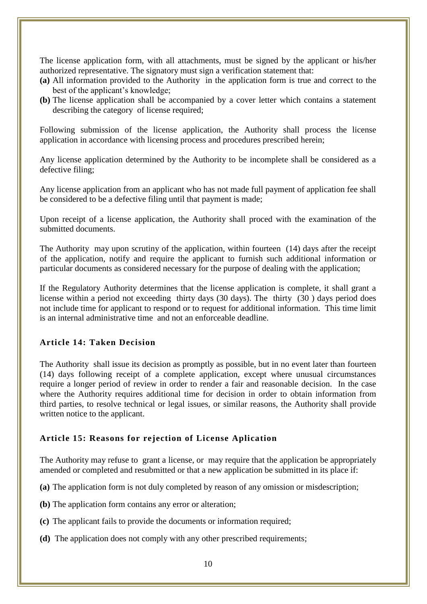The license application form, with all attachments, must be signed by the applicant or his/her authorized representative. The signatory must sign a verification statement that:

- **(a)** All information provided to the Authority in the application form is true and correct to the best of the applicant's knowledge;
- **(b)** The license application shall be accompanied by a cover letter which contains a statement describing the category of license required;

Following submission of the license application, the Authority shall process the license application in accordance with licensing process and procedures prescribed herein;

Any license application determined by the Authority to be incomplete shall be considered as a defective filing;

Any license application from an applicant who has not made full payment of application fee shall be considered to be a defective filing until that payment is made;

Upon receipt of a license application, the Authority shall proced with the examination of the submitted documents.

The Authority may upon scrutiny of the application, within fourteen (14) days after the receipt of the application, notify and require the applicant to furnish such additional information or particular documents as considered necessary for the purpose of dealing with the application;

If the Regulatory Authority determines that the license application is complete, it shall grant a license within a period not exceeding thirty days (30 days). The thirty (30 ) days period does not include time for applicant to respond or to request for additional information. This time limit is an internal administrative time and not an enforceable deadline.

## <span id="page-9-0"></span>**Article 14: Taken Decision**

The Authority shall issue its decision as promptly as possible, but in no event later than fourteen (14) days following receipt of a complete application, except where unusual circumstances require a longer period of review in order to render a fair and reasonable decision. In the case where the Authority requires additional time for decision in order to obtain information from third parties, to resolve technical or legal issues, or similar reasons, the Authority shall provide written notice to the applicant.

#### <span id="page-9-1"></span>**Article 15: Reasons for rejection of License Aplication**

The Authority may refuse to grant a license, or may require that the application be appropriately amended or completed and resubmitted or that a new application be submitted in its place if:

- **(a)** The application form is not duly completed by reason of any omission or misdescription;
- **(b)** The application form contains any error or alteration;
- **(c)** The applicant fails to provide the documents or information required;
- **(d)** The application does not comply with any other prescribed requirements;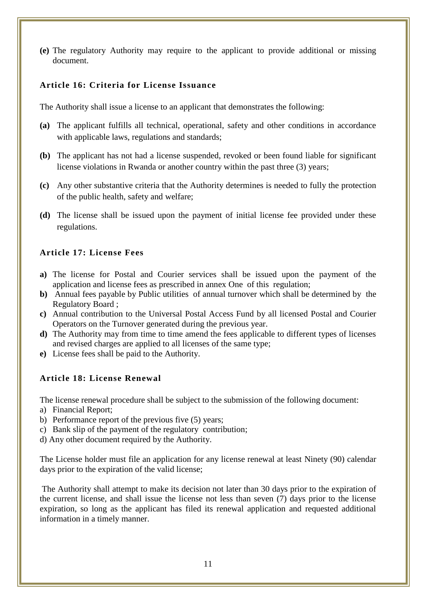**(e)** The regulatory Authority may require to the applicant to provide additional or missing document.

## <span id="page-10-0"></span>**Article 16: Criteria for License Issuance**

The Authority shall issue a license to an applicant that demonstrates the following:

- **(a)** The applicant fulfills all technical, operational, safety and other conditions in accordance with applicable laws, regulations and standards;
- **(b)** The applicant has not had a license suspended, revoked or been found liable for significant license violations in Rwanda or another country within the past three (3) years;
- **(c)** Any other substantive criteria that the Authority determines is needed to fully the protection of the public health, safety and welfare;
- **(d)** The license shall be issued upon the payment of initial license fee provided under these regulations.

# <span id="page-10-1"></span>**Article 17: License Fees**

- **a)** The license for Postal and Courier services shall be issued upon the payment of the application and license fees as prescribed in annex One of this regulation;
- **b)** Annual fees payable by Public utilities of annual turnover which shall be determined by the Regulatory Board ;
- **c)** Annual contribution to the Universal Postal Access Fund by all licensed Postal and Courier Operators on the Turnover generated during the previous year.
- **d)** The Authority may from time to time amend the fees applicable to different types of licenses and revised charges are applied to all licenses of the same type;
- <span id="page-10-2"></span>**e)** License fees shall be paid to the Authority.

# **Article 18: License Renewal**

The license renewal procedure shall be subject to the submission of the following document:

- a) Financial Report;
- b) Performance report of the previous five (5) years;
- c) Bank slip of the payment of the regulatory contribution;
- d) Any other document required by the Authority.

The License holder must file an application for any license renewal at least Ninety (90) calendar days prior to the expiration of the valid license;

<span id="page-10-3"></span>The Authority shall attempt to make its decision not later than 30 days prior to the expiration of the current license, and shall issue the license not less than seven (7) days prior to the license expiration, so long as the applicant has filed its renewal application and requested additional information in a timely manner.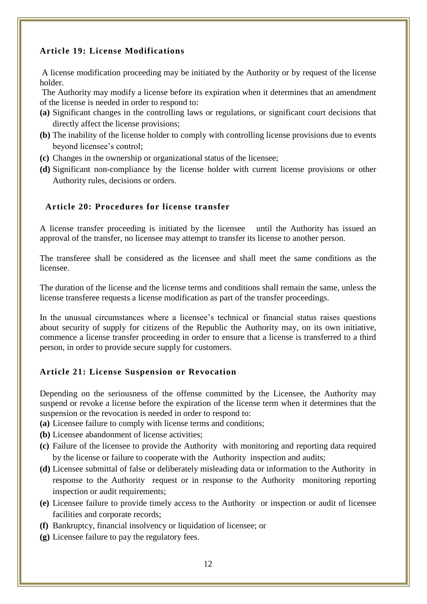# **Article 19: License Modifications**

A license modification proceeding may be initiated by the Authority or by request of the license holder.

The Authority may modify a license before its expiration when it determines that an amendment of the license is needed in order to respond to:

- **(a)** Significant changes in the controlling laws or regulations, or significant court decisions that directly affect the license provisions;
- **(b)** The inability of the license holder to comply with controlling license provisions due to events beyond licensee's control;
- **(c)** Changes in the ownership or organizational status of the licensee;
- **(d)** Significant non-compliance by the license holder with current license provisions or other Authority rules, decisions or orders.

## <span id="page-11-0"></span> **Article 20: Procedures for license transfer**

A license transfer proceeding is initiated by the licensee until the Authority has issued an approval of the transfer, no licensee may attempt to transfer its license to another person.

The transferee shall be considered as the licensee and shall meet the same conditions as the licensee.

The duration of the license and the license terms and conditions shall remain the same, unless the license transferee requests a license modification as part of the transfer proceedings.

In the unusual circumstances where a licensee's technical or financial status raises questions about security of supply for citizens of the Republic the Authority may, on its own initiative, commence a license transfer proceeding in order to ensure that a license is transferred to a third person, in order to provide secure supply for customers.

## <span id="page-11-1"></span>**Article 21: License Suspension or Revocation**

Depending on the seriousness of the offense committed by the Licensee, the Authority may suspend or revoke a license before the expiration of the license term when it determines that the suspension or the revocation is needed in order to respond to:

**(a)** Licensee failure to comply with license terms and conditions;

- **(b)** Licensee abandonment of license activities;
- **(c)** Failure of the licensee to provide the Authority with monitoring and reporting data required by the license or failure to cooperate with the Authority inspection and audits;
- **(d)** Licensee submittal of false or deliberately misleading data or information to the Authority in response to the Authority request or in response to the Authority monitoring reporting inspection or audit requirements;
- **(e)** Licensee failure to provide timely access to the Authority or inspection or audit of licensee facilities and corporate records;
- **(f)** Bankruptcy, financial insolvency or liquidation of licensee; or
- **(g)** Licensee failure to pay the regulatory fees.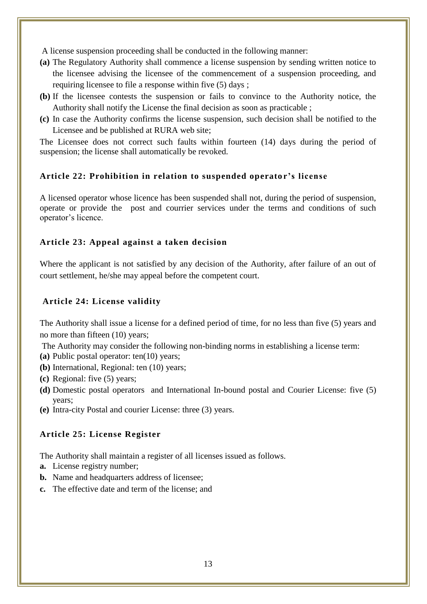A license suspension proceeding shall be conducted in the following manner:

- **(a)** The Regulatory Authority shall commence a license suspension by sending written notice to the licensee advising the licensee of the commencement of a suspension proceeding, and requiring licensee to file a response within five (5) days ;
- **(b)** If the licensee contests the suspension or fails to convince to the Authority notice, the Authority shall notify the License the final decision as soon as practicable ;
- **(c)** In case the Authority confirms the license suspension, such decision shall be notified to the Licensee and be published at RURA web site;

The Licensee does not correct such faults within fourteen (14) days during the period of suspension; the license shall automatically be revoked.

## <span id="page-12-0"></span>Article 22: Prohibition in relation to suspended operator's license

A licensed operator whose licence has been suspended shall not, during the period of suspension, operate or provide the post and courrier services under the terms and conditions of such operator's licence.

#### <span id="page-12-1"></span>**Article 23: Appeal against a taken decision**

Where the applicant is not satisfied by any decision of the Authority, after failure of an out of court settlement, he/she may appeal before the competent court.

### <span id="page-12-2"></span>**Article 24: License validity**

The Authority shall issue a license for a defined period of time, for no less than five (5) years and no more than fifteen (10) years;

The Authority may consider the following non-binding norms in establishing a license term:

- **(a)** Public postal operator: ten(10) years;
- **(b)** International, Regional: ten (10) years;
- **(c)** Regional: five (5) years;
- **(d)** Domestic postal operators and International In-bound postal and Courier License: five (5) years;
- <span id="page-12-3"></span>**(e)** Intra-city Postal and courier License: three (3) years.

## **Article 25: License Register**

The Authority shall maintain a register of all licenses issued as follows.

- **a.** License registry number;
- **b.** Name and headquarters address of licensee;
- <span id="page-12-4"></span>**c.** The effective date and term of the license; and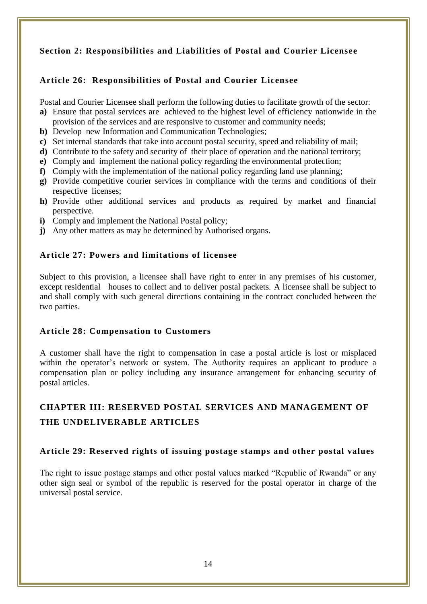# **Section 2: Responsibilities and Liabilities of Postal and Courier Licensee**

# <span id="page-13-0"></span>**Article 26: Responsibilities of Postal and Courier Licensee**

Postal and Courier Licensee shall perform the following duties to facilitate growth of the sector:

- **a)** Ensure that postal services are achieved to the highest level of efficiency nationwide in the provision of the services and are responsive to customer and community needs;
- **b)** Develop new Information and Communication Technologies;
- **c)** Set internal standards that take into account postal security, speed and reliability of mail;
- **d)** Contribute to the safety and security of their place of operation and the national territory;
- **e)** Comply and implement the national policy regarding the environmental protection;
- **f)** Comply with the implementation of the national policy regarding land use planning;
- **g)** Provide competitive courier services in compliance with the terms and conditions of their respective licenses;
- **h)** Provide other additional services and products as required by market and financial perspective.
- **i)** Comply and implement the National Postal policy;
- <span id="page-13-1"></span>**j)** Any other matters as may be determined by Authorised organs.

## **Article 27: Powers and limitations of licensee**

Subject to this provision, a licensee shall have right to enter in any premises of his customer, except residential houses to collect and to deliver postal packets. A licensee shall be subject to and shall comply with such general directions containing in the contract concluded between the two parties.

## <span id="page-13-2"></span>**Article 28: Compensation to Customers**

A customer shall have the right to compensation in case a postal article is lost or misplaced within the operator's network or system. The Authority requires an applicant to produce a compensation plan or policy including any insurance arrangement for enhancing security of postal articles.

# <span id="page-13-3"></span>**CHAPTER III: RESERVED POSTAL SERVICES AND MANAGEMENT OF THE UNDELIVERABLE ARTICLES**

#### **Article 29: Reserved rights of issuing postage stamps and other postal values**

<span id="page-13-4"></span>The right to issue postage stamps and other postal values marked "Republic of Rwanda" or any other sign seal or symbol of the republic is reserved for the postal operator in charge of the universal postal service.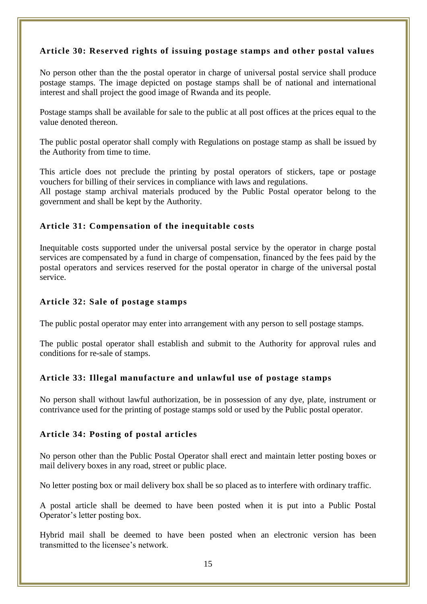# **Article 30: Reserved rights of issuing postage stamps and other postal values**

No person other than the the postal operator in charge of universal postal service shall produce postage stamps. The image depicted on postage stamps shall be of national and international interest and shall project the good image of Rwanda and its people.

Postage stamps shall be available for sale to the public at all post offices at the prices equal to the value denoted thereon.

The public postal operator shall comply with Regulations on postage stamp as shall be issued by the Authority from time to time.

This article does not preclude the printing by postal operators of stickers, tape or postage vouchers for billing of their services in compliance with laws and regulations.

All postage stamp archival materials produced by the Public Postal operator belong to the government and shall be kept by the Authority.

## <span id="page-14-0"></span>**Article 31: Compensation of the inequitable costs**

Inequitable costs supported under the universal postal service by the operator in charge postal services are compensated by a fund in charge of compensation, financed by the fees paid by the postal operators and services reserved for the postal operator in charge of the universal postal service.

## <span id="page-14-1"></span>**Article 32: Sale of postage stamps**

The public postal operator may enter into arrangement with any person to sell postage stamps.

The public postal operator shall establish and submit to the Authority for approval rules and conditions for re-sale of stamps.

## <span id="page-14-2"></span>**Article 33: Illegal manufacture and unlawful use of postage stamps**

<span id="page-14-3"></span>No person shall without lawful authorization, be in possession of any dye, plate, instrument or contrivance used for the printing of postage stamps sold or used by the Public postal operator.

## **Article 34: Posting of postal articles**

No person other than the Public Postal Operator shall erect and maintain letter posting boxes or mail delivery boxes in any road, street or public place.

No letter posting box or mail delivery box shall be so placed as to interfere with ordinary traffic.

A postal article shall be deemed to have been posted when it is put into a Public Postal Operator's letter posting box.

Hybrid mail shall be deemed to have been posted when an electronic version has been transmitted to the licensee's network.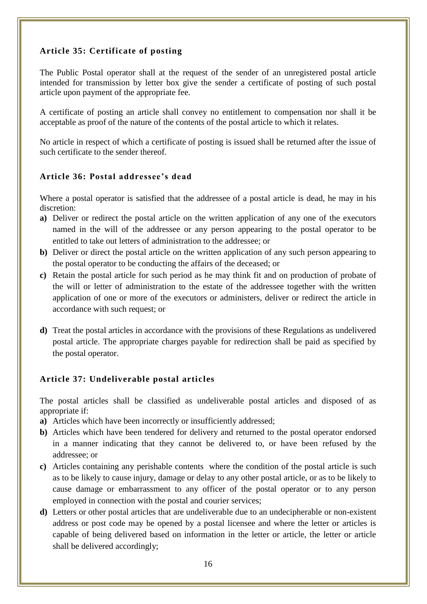# <span id="page-15-0"></span>**Article 35: Certificate of posting**

The Public Postal operator shall at the request of the sender of an unregistered postal article intended for transmission by letter box give the sender a certificate of posting of such postal article upon payment of the appropriate fee.

A certificate of posting an article shall convey no entitlement to compensation nor shall it be acceptable as proof of the nature of the contents of the postal article to which it relates.

No article in respect of which a certificate of posting is issued shall be returned after the issue of such certificate to the sender thereof.

## <span id="page-15-1"></span>**Article 36: Postal addressee's dead**

Where a postal operator is satisfied that the addressee of a postal article is dead, he may in his discretion:

- **a)** Deliver or redirect the postal article on the written application of any one of the executors named in the will of the addressee or any person appearing to the postal operator to be entitled to take out letters of administration to the addressee; or
- **b)** Deliver or direct the postal article on the written application of any such person appearing to the postal operator to be conducting the affairs of the deceased; or
- **c)** Retain the postal article for such period as he may think fit and on production of probate of the will or letter of administration to the estate of the addressee together with the written application of one or more of the executors or administers, deliver or redirect the article in accordance with such request; or
- <span id="page-15-2"></span>**d)** Treat the postal articles in accordance with the provisions of these Regulations as undelivered postal article. The appropriate charges payable for redirection shall be paid as specified by the postal operator.

## **Article 37: Undeliverable postal articles**

The postal articles shall be classified as undeliverable postal articles and disposed of as appropriate if:

- **a)** Articles which have been incorrectly or insufficiently addressed;
- **b)** Articles which have been tendered for delivery and returned to the postal operator endorsed in a manner indicating that they cannot be delivered to, or have been refused by the addressee; or
- **c)** Articles containing any perishable contents where the condition of the postal article is such as to be likely to cause injury, damage or delay to any other postal article, or as to be likely to cause damage or embarrassment to any officer of the postal operator or to any person employed in connection with the postal and courier services;
- **d)** Letters or other postal articles that are undeliverable due to an undecipherable or non-existent address or post code may be opened by a postal licensee and where the letter or articles is capable of being delivered based on information in the letter or article, the letter or article shall be delivered accordingly;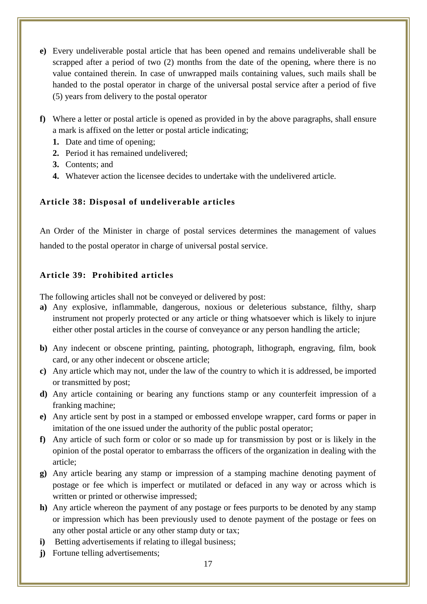- **e)** Every undeliverable postal article that has been opened and remains undeliverable shall be scrapped after a period of two (2) months from the date of the opening, where there is no value contained therein. In case of unwrapped mails containing values, such mails shall be handed to the postal operator in charge of the universal postal service after a period of five (5) years from delivery to the postal operator
- **f)** Where a letter or postal article is opened as provided in by the above paragraphs, shall ensure a mark is affixed on the letter or postal article indicating;
	- **1.** Date and time of opening;
	- **2.** Period it has remained undelivered;
	- **3.** Contents; and
	- **4.** Whatever action the licensee decides to undertake with the undelivered article.

# <span id="page-16-0"></span>**Article 38: Disposal of undeliverable articles**

An Order of the Minister in charge of postal services determines the management of values handed to the postal operator in charge of universal postal service.

# <span id="page-16-1"></span>**Article 39: Prohibited articles**

The following articles shall not be conveyed or delivered by post:

- **a)** Any explosive, inflammable, dangerous, noxious or deleterious substance, filthy, sharp instrument not properly protected or any article or thing whatsoever which is likely to injure either other postal articles in the course of conveyance or any person handling the article;
- **b)** Any indecent or obscene printing, painting, photograph, lithograph, engraving, film, book card, or any other indecent or obscene article;
- **c)** Any article which may not, under the law of the country to which it is addressed, be imported or transmitted by post;
- **d)** Any article containing or bearing any functions stamp or any counterfeit impression of a franking machine;
- **e)** Any article sent by post in a stamped or embossed envelope wrapper, card forms or paper in imitation of the one issued under the authority of the public postal operator;
- **f)** Any article of such form or color or so made up for transmission by post or is likely in the opinion of the postal operator to embarrass the officers of the organization in dealing with the article;
- **g)** Any article bearing any stamp or impression of a stamping machine denoting payment of postage or fee which is imperfect or mutilated or defaced in any way or across which is written or printed or otherwise impressed;
- **h)** Any article whereon the payment of any postage or fees purports to be denoted by any stamp or impression which has been previously used to denote payment of the postage or fees on any other postal article or any other stamp duty or tax;
- **i**) Betting advertisements if relating to illegal business;
- **j**) Fortune telling advertisements;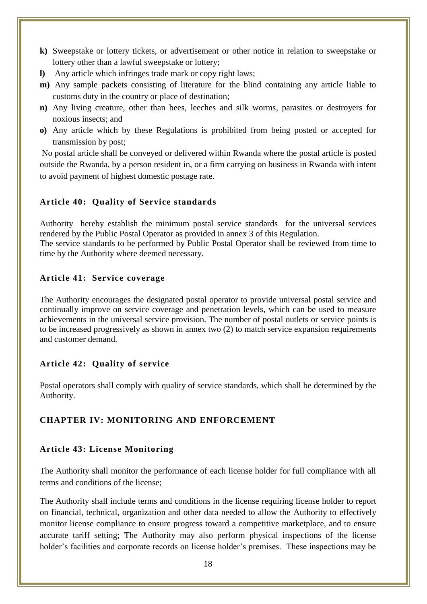- **k)** Sweepstake or lottery tickets, or advertisement or other notice in relation to sweepstake or lottery other than a lawful sweepstake or lottery;
- **l)** Any article which infringes trade mark or copy right laws;
- **m)** Any sample packets consisting of literature for the blind containing any article liable to customs duty in the country or place of destination;
- **n)** Any living creature, other than bees, leeches and silk worms, parasites or destroyers for noxious insects; and
- **o)** Any article which by these Regulations is prohibited from being posted or accepted for transmission by post;

No postal article shall be conveyed or delivered within Rwanda where the postal article is posted outside the Rwanda, by a person resident in, or a firm carrying on business in Rwanda with intent to avoid payment of highest domestic postage rate.

# <span id="page-17-0"></span>**Article 40: Quality of Service standards**

Authority hereby establish the minimum postal service standards for the universal services rendered by the Public Postal Operator as provided in annex 3 of this Regulation. The service standards to be performed by Public Postal Operator shall be reviewed from time to time by the Authority where deemed necessary.

# <span id="page-17-1"></span>**Article 41: Service coverage**

The Authority encourages the designated postal operator to provide universal postal service and continually improve on service coverage and penetration levels, which can be used to measure achievements in the universal service provision. The number of postal outlets or service points is to be increased progressively as shown in annex two (2) to match service expansion requirements and customer demand.

# <span id="page-17-2"></span>**Article 42: Quality of service**

Postal operators shall comply with quality of service standards, which shall be determined by the Authority.

# <span id="page-17-3"></span>**CHAPTER IV: MONITORING AND ENFORCEMENT**

# <span id="page-17-4"></span>**Article 43: License Monitoring**

The Authority shall monitor the performance of each license holder for full compliance with all terms and conditions of the license;

The Authority shall include terms and conditions in the license requiring license holder to report on financial, technical, organization and other data needed to allow the Authority to effectively monitor license compliance to ensure progress toward a competitive marketplace, and to ensure accurate tariff setting; The Authority may also perform physical inspections of the license holder's facilities and corporate records on license holder's premises. These inspections may be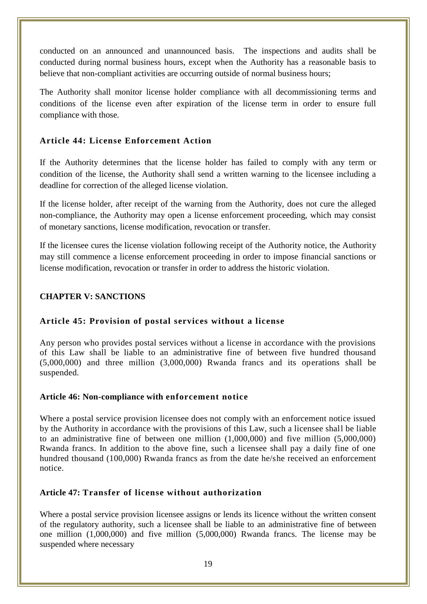conducted on an announced and unannounced basis. The inspections and audits shall be conducted during normal business hours, except when the Authority has a reasonable basis to believe that non-compliant activities are occurring outside of normal business hours;

The Authority shall monitor license holder compliance with all decommissioning terms and conditions of the license even after expiration of the license term in order to ensure full compliance with those.

# <span id="page-18-0"></span>**Article 44: License Enforcement Action**

If the Authority determines that the license holder has failed to comply with any term or condition of the license, the Authority shall send a written warning to the licensee including a deadline for correction of the alleged license violation.

If the license holder, after receipt of the warning from the Authority, does not cure the alleged non-compliance, the Authority may open a license enforcement proceeding, which may consist of monetary sanctions, license modification, revocation or transfer.

If the licensee cures the license violation following receipt of the Authority notice, the Authority may still commence a license enforcement proceeding in order to impose financial sanctions or license modification, revocation or transfer in order to address the historic violation.

## <span id="page-18-2"></span><span id="page-18-1"></span>**CHAPTER V: SANCTIONS**

## **Article 45: Provision of postal services without a license**

Any person who provides postal services without a license in accordance with the provisions of this Law shall be liable to an administrative fine of between five hundred thousand (5,000,000) and three million (3,000,000) Rwanda francs and its operations shall be suspended.

## <span id="page-18-3"></span>**Article 46: Non-compliance with enforcement notice**

Where a postal service provision licensee does not comply with an enforcement notice issued by the Authority in accordance with the provisions of this Law, such a licensee shall be liable to an administrative fine of between one million (1,000,000) and five million (5,000,000) Rwanda francs. In addition to the above fine, such a licensee shall pay a daily fine of one hundred thousand (100,000) Rwanda francs as from the date he/she received an enforcement notice.

## <span id="page-18-4"></span>**Article 47: Transfer of license without authorization**

Where a postal service provision licensee assigns or lends its licence without the written consent of the regulatory authority, such a licensee shall be liable to an administrative fine of between one million (1,000,000) and five million (5,000,000) Rwanda francs. The license may be suspended where necessary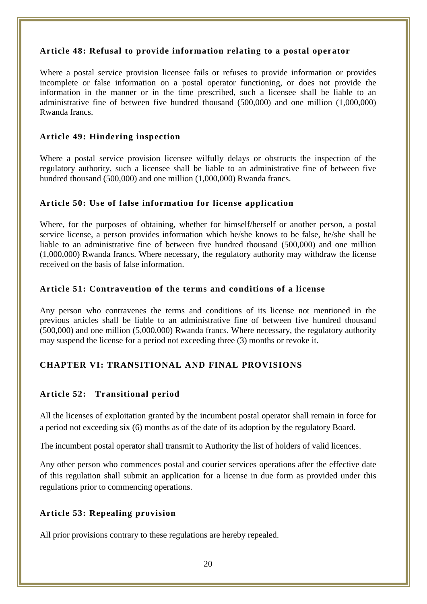## <span id="page-19-0"></span>**Article 48: Refusal to provide information relating to a postal operator**

Where a postal service provision licensee fails or refuses to provide information or provides incomplete or false information on a postal operator functioning, or does not provide the information in the manner or in the time prescribed, such a licensee shall be liable to an administrative fine of between five hundred thousand (500,000) and one million (1,000,000) Rwanda francs.

# <span id="page-19-1"></span>**Article 49: Hindering inspection**

Where a postal service provision licensee wilfully delays or obstructs the inspection of the regulatory authority, such a licensee shall be liable to an administrative fine of between five hundred thousand (500,000) and one million (1,000,000) Rwanda francs.

## <span id="page-19-2"></span>**Article 50: Use of false information for license application**

Where, for the purposes of obtaining, whether for himself/herself or another person, a postal service license, a person provides information which he/she knows to be false, he/she shall be liable to an administrative fine of between five hundred thousand (500,000) and one million (1,000,000) Rwanda francs. Where necessary, the regulatory authority may withdraw the license received on the basis of false information.

## <span id="page-19-3"></span>**Article 51: Contravention of the terms and conditions of a license**

Any person who contravenes the terms and conditions of its license not mentioned in the previous articles shall be liable to an administrative fine of between five hundred thousand (500,000) and one million (5,000,000) Rwanda francs. Where necessary, the regulatory authority may suspend the license for a period not exceeding three (3) months or revoke it**.**

# <span id="page-19-4"></span>**CHAPTER VI: TRANSITIONAL AND FINAL PROVISIONS**

# <span id="page-19-5"></span>**Article 52: Transitional period**

All the licenses of exploitation granted by the incumbent postal operator shall remain in force for a period not exceeding six (6) months as of the date of its adoption by the regulatory Board.

The incumbent postal operator shall transmit to Authority the list of holders of valid licences.

Any other person who commences postal and courier services operations after the effective date of this regulation shall submit an application for a license in due form as provided under this regulations prior to commencing operations.

# <span id="page-19-6"></span>**Article 53: Repealing provision**

All prior provisions contrary to these regulations are hereby repealed.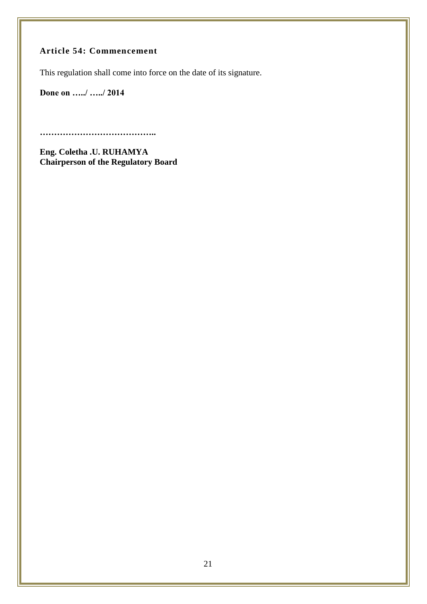# <span id="page-20-0"></span>**Article 54: Commencement**

This regulation shall come into force on the date of its signature.

**Done on …../ …../ 2014**

**…………………………………..**

**Eng. Coletha .U. RUHAMYA Chairperson of the Regulatory Board**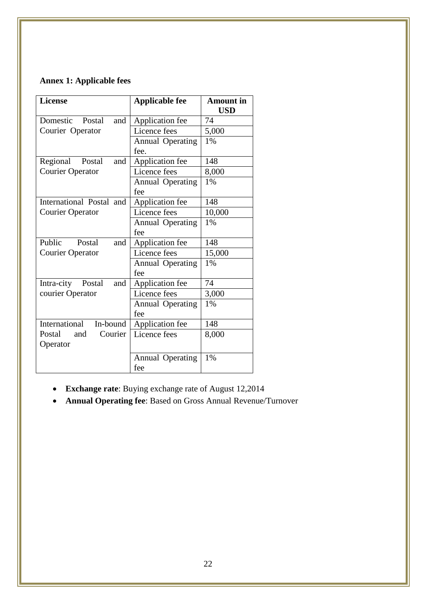# **Annex 1: Applicable fees**

| <b>License</b>              | <b>Applicable fee</b>   | <b>Amount</b> in<br><b>USD</b> |
|-----------------------------|-------------------------|--------------------------------|
| Domestic<br>Postal<br>and   | Application fee         | 74                             |
| Courier Operator            | Licence fees            | 5,000                          |
|                             | <b>Annual Operating</b> | 1%                             |
|                             | fee.                    |                                |
| and<br>Regional<br>Postal   | Application fee         | 148                            |
| <b>Courier Operator</b>     | Licence fees            | 8,000                          |
|                             | <b>Annual Operating</b> | 1%                             |
|                             | fee                     |                                |
| International Postal and    | Application fee         | 148                            |
| <b>Courier Operator</b>     | Licence fees            | 10,000                         |
|                             | <b>Annual Operating</b> | 1%                             |
|                             | fee                     |                                |
| Public<br>Postal<br>and     | Application fee         | 148                            |
| <b>Courier Operator</b>     | Licence fees            | 15,000                         |
|                             | <b>Annual Operating</b> | 1%                             |
|                             | fee                     |                                |
| Intra-city<br>Postal<br>and | Application fee         | 74                             |
| courier Operator            | Licence fees            | 3,000                          |
|                             | <b>Annual Operating</b> | 1%                             |
|                             | fee                     |                                |
| International<br>In-bound   | Application fee         | 148                            |
| Postal<br>Courier<br>and    | Licence fees            | 8,000                          |
| Operator                    |                         |                                |
|                             | <b>Annual Operating</b> | 1%                             |
|                             | fee                     |                                |

- **Exchange rate**: Buying exchange rate of August 12,2014
- **Annual Operating fee**: Based on Gross Annual Revenue/Turnover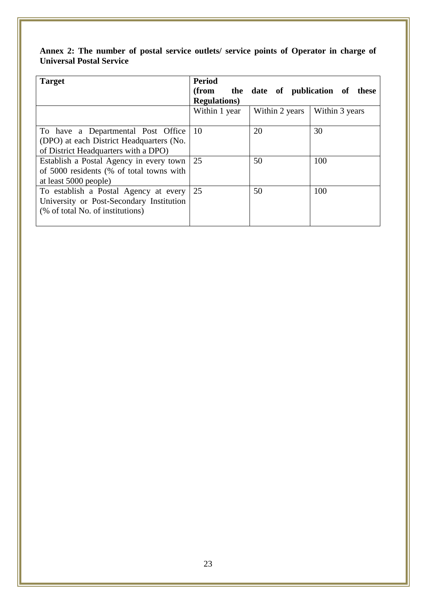| Annex 2: The number of postal service outlets/ service points of Operator in charge of |  |  |  |
|----------------------------------------------------------------------------------------|--|--|--|
| <b>Universal Postal Service</b>                                                        |  |  |  |

| <b>Target</b>                                                                                                          | <b>Period</b><br>(from<br><b>Regulations</b> ) |                | the date of publication of these |
|------------------------------------------------------------------------------------------------------------------------|------------------------------------------------|----------------|----------------------------------|
|                                                                                                                        | Within 1 year                                  | Within 2 years | Within 3 years                   |
| To have a Departmental Post Office<br>(DPO) at each District Headquarters (No.<br>of District Headquarters with a DPO) | -10                                            | 20             | 30                               |
| Establish a Postal Agency in every town<br>of 5000 residents (% of total towns with<br>at least 5000 people)           | 25                                             | 50             | 100                              |
| To establish a Postal Agency at every<br>University or Post-Secondary Institution<br>(% of total No. of institutions)  | 25                                             | 50             | 100                              |